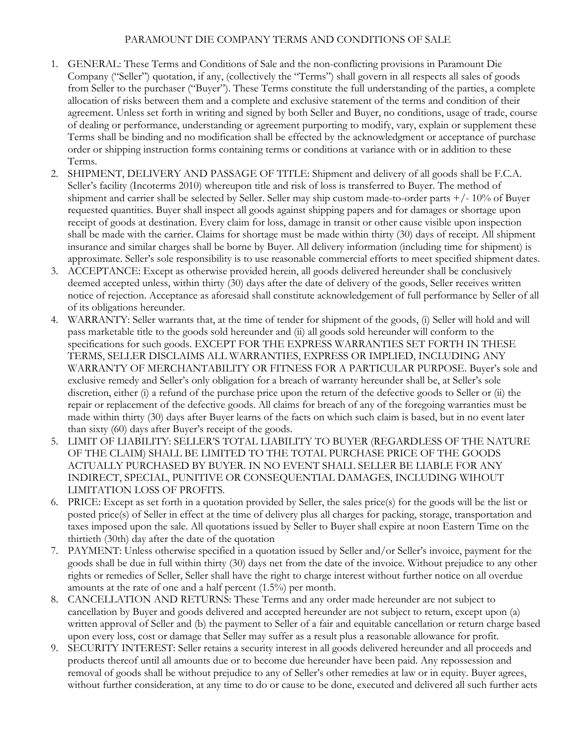## PARAMOUNT DIE COMPANY TERMS AND CONDITIONS OF SALE

- 1. GENERAL: These Terms and Conditions of Sale and the non-conflicting provisions in Paramount Die Company ("Seller") quotation, if any, (collectively the "Terms") shall govern in all respects all sales of goods from Seller to the purchaser ("Buyer"). These Terms constitute the full understanding of the parties, a complete allocation of risks between them and a complete and exclusive statement of the terms and condition of their agreement. Unless set forth in writing and signed by both Seller and Buyer, no conditions, usage of trade, course of dealing or performance, understanding or agreement purporting to modify, vary, explain or supplement these Terms shall be binding and no modification shall be effected by the acknowledgment or acceptance of purchase order or shipping instruction forms containing terms or conditions at variance with or in addition to these Terms.
- 2. SHIPMENT, DELIVERY AND PASSAGE OF TITLE: Shipment and delivery of all goods shall be F.C.A. Seller's facility (Incoterms 2010) whereupon title and risk of loss is transferred to Buyer. The method of shipment and carrier shall be selected by Seller. Seller may ship custom made-to-order parts  $+/-10\%$  of Buyer requested quantities. Buyer shall inspect all goods against shipping papers and for damages or shortage upon receipt of goods at destination. Every claim for loss, damage in transit or other cause visible upon inspection shall be made with the carrier. Claims for shortage must be made within thirty (30) days of receipt. All shipment insurance and similar charges shall be borne by Buyer. All delivery information (including time for shipment) is approximate. Seller's sole responsibility is to use reasonable commercial efforts to meet specified shipment dates.
- 3. ACCEPTANCE: Except as otherwise provided herein, all goods delivered hereunder shall be conclusively deemed accepted unless, within thirty (30) days after the date of delivery of the goods, Seller receives written notice of rejection. Acceptance as aforesaid shall constitute acknowledgement of full performance by Seller of all of its obligations hereunder.
- WARRANTY: Seller warrants that, at the time of tender for shipment of the goods, (i) Seller will hold and will pass marketable title to the goods sold hereunder and (ii) all goods sold hereunder will conform to the specifications for such goods. EXCEPT FOR THE EXPRESS WARRANTIES SET FORTH IN THESE TERMS, SELLER DISCLAIMS ALL WARRANTIES, EXPRESS OR IMPLIED, INCLUDING ANY WARRANTY OF MERCHANTABILITY OR FITNESS FOR A PARTICULAR PURPOSE. Buyer's sole and exclusive remedy and Seller's only obligation for a breach of warranty hereunder shall be, at Seller's sole discretion, either (i) a refund of the purchase price upon the return of the defective goods to Seller or (ii) the repair or replacement of the defective goods. All claims for breach of any of the foregoing warranties must be made within thirty (30) days after Buyer learns of the facts on which such claim is based, but in no event later than sixty (60) days after Buyer's receipt of the goods.
- 5. LIMIT OF LIABILITY: SELLER'S TOTAL LIABILITY TO BUYER (REGARDLESS OF THE NATURE OF THE CLAIM) SHALL BE LIMITED TO THE TOTAL PURCHASE PRICE OF THE GOODS ACTUALLY PURCHASED BY BUYER. IN NO EVENT SHALL SELLER BE LIABLE FOR ANY INDIRECT, SPECIAL, PUNITIVE OR CONSEQUENTIAL DAMAGES, INCLUDING WIHOUT LIMITATION LOSS OF PROFITS.
- 6. PRICE: Except as set forth in a quotation provided by Seller, the sales price(s) for the goods will be the list or posted price(s) of Seller in effect at the time of delivery plus all charges for packing, storage, transportation and taxes imposed upon the sale. All quotations issued by Seller to Buyer shall expire at noon Eastern Time on the thirtieth (30th) day after the date of the quotation
- 7. PAYMENT: Unless otherwise specified in a quotation issued by Seller and/or Seller's invoice, payment for the goods shall be due in full within thirty (30) days net from the date of the invoice. Without prejudice to any other rights or remedies of Seller, Seller shall have the right to charge interest without further notice on all overdue amounts at the rate of one and a half percent (1.5%) per month.
- 8. CANCELLATION AND RETURNS: These Terms and any order made hereunder are not subject to cancellation by Buyer and goods delivered and accepted hereunder are not subject to return, except upon (a) written approval of Seller and (b) the payment to Seller of a fair and equitable cancellation or return charge based upon every loss, cost or damage that Seller may suffer as a result plus a reasonable allowance for profit.
- 9. SECURITY INTEREST: Seller retains a security interest in all goods delivered hereunder and all proceeds and products thereof until all amounts due or to become due hereunder have been paid. Any repossession and removal of goods shall be without prejudice to any of Seller's other remedies at law or in equity. Buyer agrees, without further consideration, at any time to do or cause to be done, executed and delivered all such further acts